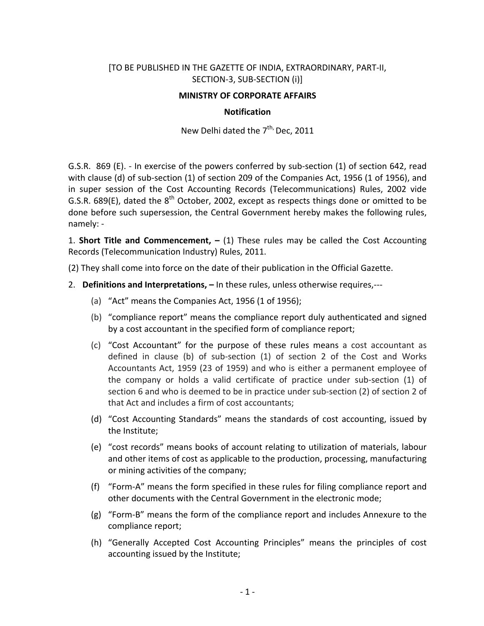### [TO BE PUBLISHED IN THE GAZETTE OF INDIA, EXTRAORDINARY, PART‐II, SECTION‐3, SUB‐SECTION (i)]

### **MINISTRY OF CORPORATE AFFAIRS**

#### **Notification**

New Delhi dated the  $7^{\text{th}}$ , Dec, 2011

G.S.R. 869 (E). ‐ In exercise of the powers conferred by sub‐section (1) of section 642, read with clause (d) of sub-section (1) of section 209 of the Companies Act, 1956 (1 of 1956), and in super session of the Cost Accounting Records (Telecommunications) Rules, 2002 vide G.S.R. 689(E), dated the  $8<sup>th</sup>$  October, 2002, except as respects things done or omitted to be done before such supersession, the Central Government hereby makes the following rules, namely: ‐

1. **Short Title and Commencement, –** (1) These rules may be called the Cost Accounting Records (Telecommunication Industry) Rules, 2011.

(2) They shall come into force on the date of their publication in the Official Gazette.

- 2. **Definitions and Interpretations, –** In these rules, unless otherwise requires,‐‐‐
	- (a) "Act" means the Companies Act, 1956 (1 of 1956);
	- (b) "compliance report" means the compliance report duly authenticated and signed by a cost accountant in the specified form of compliance report;
	- (c) "Cost Accountant" for the purpose of these rules means a cost accountant as defined in clause (b) of sub‐section (1) of section 2 of the Cost and Works Accountants Act, 1959 (23 of 1959) and who is either a permanent employee of the company or holds a valid certificate of practice under sub‐section (1) of section 6 and who is deemed to be in practice under sub-section (2) of section 2 of that Act and includes a firm of cost accountants;
	- (d) "Cost Accounting Standards" means the standards of cost accounting, issued by the Institute;
	- (e) "cost records" means books of account relating to utilization of materials, labour and other items of cost as applicable to the production, processing, manufacturing or mining activities of the company;
	- (f) "Form‐A" means the form specified in these rules for filing compliance report and other documents with the Central Government in the electronic mode;
	- (g) "Form‐B" means the form of the compliance report and includes Annexure to the compliance report;
	- (h) "Generally Accepted Cost Accounting Principles" means the principles of cost accounting issued by the Institute;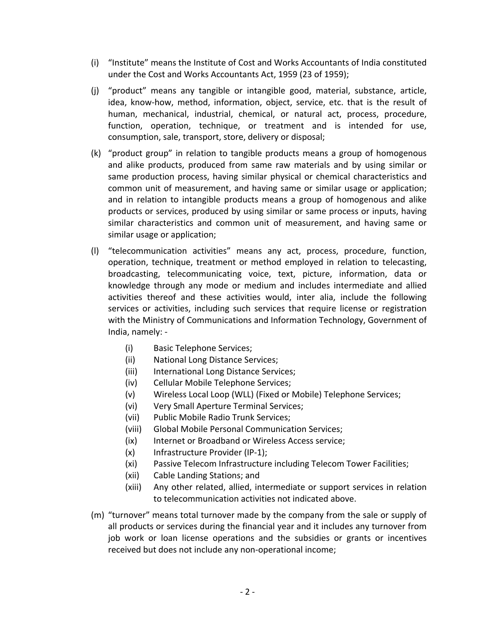- (i) "Institute" means the Institute of Cost and Works Accountants of India constituted under the Cost and Works Accountants Act, 1959 (23 of 1959);
- (j) "product" means any tangible or intangible good, material, substance, article, idea, know‐how, method, information, object, service, etc. that is the result of human, mechanical, industrial, chemical, or natural act, process, procedure, function, operation, technique, or treatment and is intended for use, consumption, sale, transport, store, delivery or disposal;
- (k) "product group" in relation to tangible products means a group of homogenous and alike products, produced from same raw materials and by using similar or same production process, having similar physical or chemical characteristics and common unit of measurement, and having same or similar usage or application; and in relation to intangible products means a group of homogenous and alike products or services, produced by using similar or same process or inputs, having similar characteristics and common unit of measurement, and having same or similar usage or application;
- (l) "telecommunication activities" means any act, process, procedure, function, operation, technique, treatment or method employed in relation to telecasting, broadcasting, telecommunicating voice, text, picture, information, data or knowledge through any mode or medium and includes intermediate and allied activities thereof and these activities would, inter alia, include the following services or activities, including such services that require license or registration with the Ministry of Communications and Information Technology, Government of India, namely: ‐
	- (i) Basic Telephone Services;
	- (ii) National Long Distance Services;
	- (iii) International Long Distance Services;
	- (iv) Cellular Mobile Telephone Services;
	- (v) Wireless Local Loop (WLL) (Fixed or Mobile) Telephone Services;
	- (vi) Very Small Aperture Terminal Services;
	- (vii) Public Mobile Radio Trunk Services;
	- (viii) Global Mobile Personal Communication Services;
	- (ix) Internet or Broadband or Wireless Access service;
	- (x) Infrastructure Provider (IP‐1);
	- (xi) Passive Telecom Infrastructure including Telecom Tower Facilities;
	- (xii) Cable Landing Stations; and
	- (xiii) Any other related, allied, intermediate or support services in relation to telecommunication activities not indicated above.
- (m) "turnover" means total turnover made by the company from the sale or supply of all products or services during the financial year and it includes any turnover from job work or loan license operations and the subsidies or grants or incentives received but does not include any non‐operational income;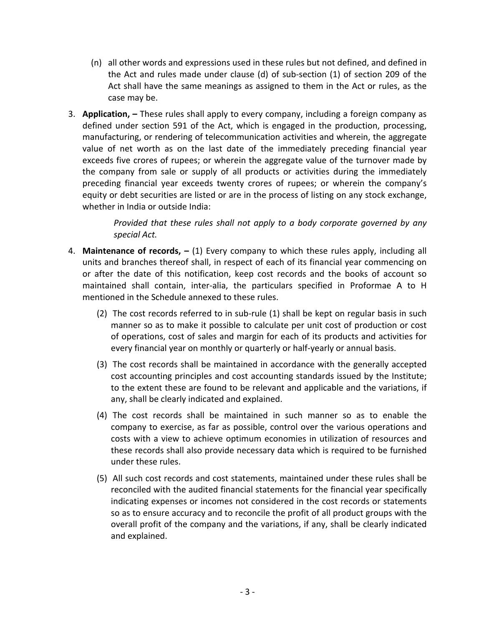- (n) all other words and expressions used in these rules but not defined, and defined in the Act and rules made under clause (d) of sub‐section (1) of section 209 of the Act shall have the same meanings as assigned to them in the Act or rules, as the case may be.
- 3. **Application, –** These rules shall apply to every company, including a foreign company as defined under section 591 of the Act, which is engaged in the production, processing, manufacturing, or rendering of telecommunication activities and wherein, the aggregate value of net worth as on the last date of the immediately preceding financial year exceeds five crores of rupees; or wherein the aggregate value of the turnover made by the company from sale or supply of all products or activities during the immediately preceding financial year exceeds twenty crores of rupees; or wherein the company's equity or debt securities are listed or are in the process of listing on any stock exchange, whether in India or outside India:

*Provided that these rules shall not apply to a body corporate governed by any special Act.* 

- 4. **Maintenance of records, –** (1) Every company to which these rules apply, including all units and branches thereof shall, in respect of each of its financial year commencing on or after the date of this notification, keep cost records and the books of account so maintained shall contain, inter‐alia, the particulars specified in Proformae A to H mentioned in the Schedule annexed to these rules.
	- (2) The cost records referred to in sub‐rule (1) shall be kept on regular basis in such manner so as to make it possible to calculate per unit cost of production or cost of operations, cost of sales and margin for each of its products and activities for every financial year on monthly or quarterly or half‐yearly or annual basis.
	- (3) The cost records shall be maintained in accordance with the generally accepted cost accounting principles and cost accounting standards issued by the Institute; to the extent these are found to be relevant and applicable and the variations, if any, shall be clearly indicated and explained.
	- (4) The cost records shall be maintained in such manner so as to enable the company to exercise, as far as possible, control over the various operations and costs with a view to achieve optimum economies in utilization of resources and these records shall also provide necessary data which is required to be furnished under these rules.
	- (5) All such cost records and cost statements, maintained under these rules shall be reconciled with the audited financial statements for the financial year specifically indicating expenses or incomes not considered in the cost records or statements so as to ensure accuracy and to reconcile the profit of all product groups with the overall profit of the company and the variations, if any, shall be clearly indicated and explained.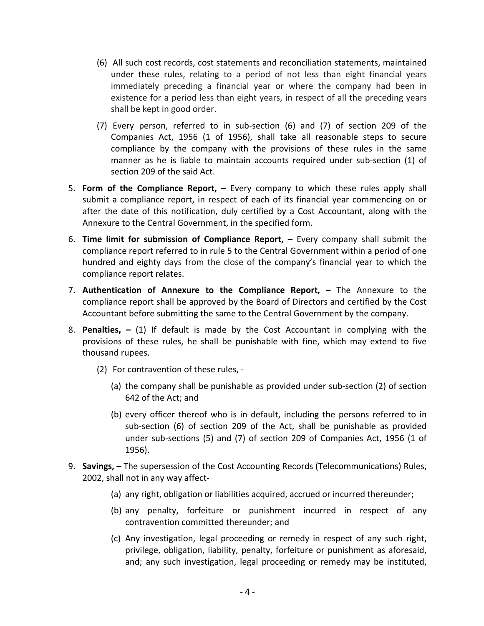- (6) All such cost records, cost statements and reconciliation statements, maintained under these rules, relating to a period of not less than eight financial years immediately preceding a financial year or where the company had been in existence for a period less than eight years, in respect of all the preceding years shall be kept in good order.
- (7) Every person, referred to in sub‐section (6) and (7) of section 209 of the Companies Act, 1956 (1 of 1956), shall take all reasonable steps to secure compliance by the company with the provisions of these rules in the same manner as he is liable to maintain accounts required under sub‐section (1) of section 209 of the said Act.
- 5. **Form of the Compliance Report, –** Every company to which these rules apply shall submit a compliance report, in respect of each of its financial year commencing on or after the date of this notification, duly certified by a Cost Accountant, along with the Annexure to the Central Government, in the specified form.
- 6. **Time limit for submission of Compliance Report, –** Every company shall submit the compliance report referred to in rule 5 to the Central Government within a period of one hundred and eighty days from the close of the company's financial year to which the compliance report relates.
- 7. **Authentication of Annexure to the Compliance Report, –** The Annexure to the compliance report shall be approved by the Board of Directors and certified by the Cost Accountant before submitting the same to the Central Government by the company.
- 8. **Penalties, –** (1) If default is made by the Cost Accountant in complying with the provisions of these rules, he shall be punishable with fine, which may extend to five thousand rupees.
	- (2) For contravention of these rules, ‐
		- (a) the company shall be punishable as provided under sub‐section (2) of section 642 of the Act; and
		- (b) every officer thereof who is in default, including the persons referred to in sub-section (6) of section 209 of the Act, shall be punishable as provided under sub‐sections (5) and (7) of section 209 of Companies Act, 1956 (1 of 1956).
- 9. **Savings, –** The supersession of the Cost Accounting Records (Telecommunications) Rules, 2002, shall not in any way affect‐
	- (a) any right, obligation or liabilities acquired, accrued or incurred thereunder;
	- (b) any penalty, forfeiture or punishment incurred in respect of any contravention committed thereunder; and
	- (c) Any investigation, legal proceeding or remedy in respect of any such right, privilege, obligation, liability, penalty, forfeiture or punishment as aforesaid, and; any such investigation, legal proceeding or remedy may be instituted,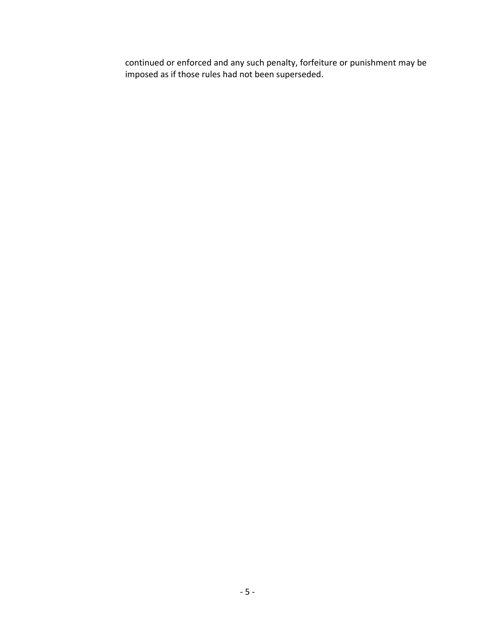continued or enforced and any such penalty, forfeiture or punishment may be imposed as if those rules had not been superseded.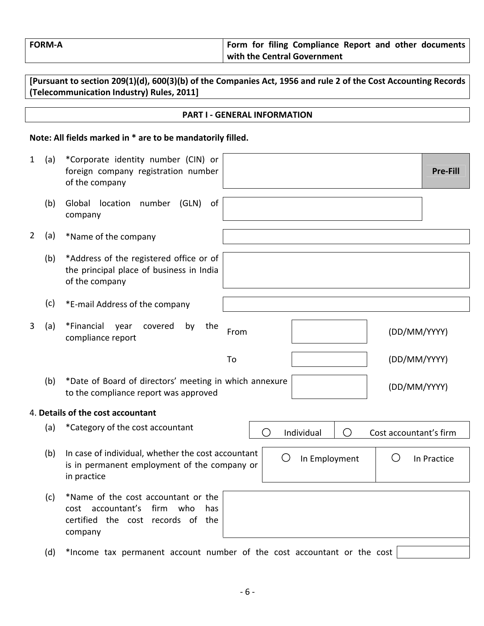| FORM-A | Form for filing Compliance Report and other documents |
|--------|-------------------------------------------------------|
|        | with the Central Government                           |

|                | [Pursuant to section 209(1)(d), 600(3)(b) of the Companies Act, 1956 and rule 2 of the Cost Accounting Records<br>(Telecommunication Industry) Rules, 2011] |                                                                                                                                                             |  |  |  |  |  |
|----------------|-------------------------------------------------------------------------------------------------------------------------------------------------------------|-------------------------------------------------------------------------------------------------------------------------------------------------------------|--|--|--|--|--|
|                | <b>PART I - GENERAL INFORMATION</b>                                                                                                                         |                                                                                                                                                             |  |  |  |  |  |
|                |                                                                                                                                                             | Note: All fields marked in * are to be mandatorily filled.                                                                                                  |  |  |  |  |  |
| 1              | (a)                                                                                                                                                         | *Corporate identity number (CIN) or<br>foreign company registration number<br><b>Pre-Fill</b><br>of the company                                             |  |  |  |  |  |
|                | (b)                                                                                                                                                         | Global<br>(GLN)<br>location<br>number<br>of<br>company                                                                                                      |  |  |  |  |  |
| $\overline{2}$ | (a)                                                                                                                                                         | *Name of the company                                                                                                                                        |  |  |  |  |  |
|                | (b)                                                                                                                                                         | *Address of the registered office or of<br>the principal place of business in India<br>of the company                                                       |  |  |  |  |  |
|                | (c)                                                                                                                                                         | *E-mail Address of the company                                                                                                                              |  |  |  |  |  |
| 3              | (a)                                                                                                                                                         | *Financial<br>the<br>year<br>covered<br>by<br>(DD/MM/YYYY)<br>From<br>compliance report                                                                     |  |  |  |  |  |
|                |                                                                                                                                                             | (DD/MM/YYYY)<br>To                                                                                                                                          |  |  |  |  |  |
|                | (b)                                                                                                                                                         | *Date of Board of directors' meeting in which annexure<br>(DD/MM/YYYY)<br>to the compliance report was approved                                             |  |  |  |  |  |
|                |                                                                                                                                                             | 4. Details of the cost accountant                                                                                                                           |  |  |  |  |  |
|                | (a)                                                                                                                                                         | *Category of the cost accountant<br>$\bigcirc$ Individual<br>$\bigcirc$<br>Cost accountant's firm                                                           |  |  |  |  |  |
|                | (b)                                                                                                                                                         | In case of individual, whether the cost accountant<br>O<br>Ő<br>In Employment<br>In Practice<br>is in permanent employment of the company or<br>in practice |  |  |  |  |  |
|                | (c)                                                                                                                                                         | *Name of the cost accountant or the<br>firm<br>cost accountant's<br>who<br>has.<br>certified the cost records of<br>the<br>company                          |  |  |  |  |  |
|                | (d)                                                                                                                                                         | *Income tax permanent account number of the cost accountant or the cost                                                                                     |  |  |  |  |  |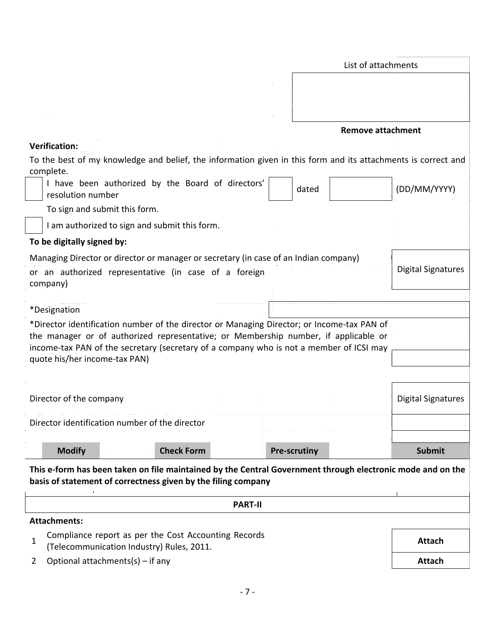| 14<br>$\  \cdot \ $<br><b>Remove attachment</b><br><b>Verification:</b><br>To the best of my knowledge and belief, the information given in this form and its attachments is correct and<br>complete.<br>I have been authorized by the Board of directors'<br>(DD/MM/YYYY)<br>dated<br>resolution number<br>To sign and submit this form.<br>I am authorized to sign and submit this form.<br>To be digitally signed by:<br>Managing Director or director or manager or secretary (in case of an Indian company)<br><b>Digital Signatures</b><br>or an authorized representative (in case of a foreign<br>company)<br><i>*Designation</i><br>*Director identification number of the director or Managing Director; or Income-tax PAN of<br>the manager or of authorized representative; or Membership number, if applicable or<br>income-tax PAN of the secretary (secretary of a company who is not a member of ICSI may<br>quote his/her income-tax PAN)<br>Director of the company<br><b>Digital Signatures</b><br>Director identification number of the director<br><b>Check Form</b><br><b>Modify</b><br><b>Pre-scrutiny</b><br><b>Submit</b><br>This e-form has been taken on file maintained by the Central Government through electronic mode and on the<br>basis of statement of correctness given by the filing company<br><b>PART-II</b><br><b>Attachments:</b><br>Compliance report as per the Cost Accounting Records<br>1<br><b>Attach</b><br>(Telecommunication Industry) Rules, 2011.<br>Optional attachments(s) $-$ if any<br>Attach<br>2 | List of attachments |  |
|------------------------------------------------------------------------------------------------------------------------------------------------------------------------------------------------------------------------------------------------------------------------------------------------------------------------------------------------------------------------------------------------------------------------------------------------------------------------------------------------------------------------------------------------------------------------------------------------------------------------------------------------------------------------------------------------------------------------------------------------------------------------------------------------------------------------------------------------------------------------------------------------------------------------------------------------------------------------------------------------------------------------------------------------------------------------------------------------------------------------------------------------------------------------------------------------------------------------------------------------------------------------------------------------------------------------------------------------------------------------------------------------------------------------------------------------------------------------------------------------------------------------------------------------------------|---------------------|--|
|                                                                                                                                                                                                                                                                                                                                                                                                                                                                                                                                                                                                                                                                                                                                                                                                                                                                                                                                                                                                                                                                                                                                                                                                                                                                                                                                                                                                                                                                                                                                                            |                     |  |
|                                                                                                                                                                                                                                                                                                                                                                                                                                                                                                                                                                                                                                                                                                                                                                                                                                                                                                                                                                                                                                                                                                                                                                                                                                                                                                                                                                                                                                                                                                                                                            |                     |  |
|                                                                                                                                                                                                                                                                                                                                                                                                                                                                                                                                                                                                                                                                                                                                                                                                                                                                                                                                                                                                                                                                                                                                                                                                                                                                                                                                                                                                                                                                                                                                                            |                     |  |
|                                                                                                                                                                                                                                                                                                                                                                                                                                                                                                                                                                                                                                                                                                                                                                                                                                                                                                                                                                                                                                                                                                                                                                                                                                                                                                                                                                                                                                                                                                                                                            |                     |  |
|                                                                                                                                                                                                                                                                                                                                                                                                                                                                                                                                                                                                                                                                                                                                                                                                                                                                                                                                                                                                                                                                                                                                                                                                                                                                                                                                                                                                                                                                                                                                                            |                     |  |
|                                                                                                                                                                                                                                                                                                                                                                                                                                                                                                                                                                                                                                                                                                                                                                                                                                                                                                                                                                                                                                                                                                                                                                                                                                                                                                                                                                                                                                                                                                                                                            |                     |  |
|                                                                                                                                                                                                                                                                                                                                                                                                                                                                                                                                                                                                                                                                                                                                                                                                                                                                                                                                                                                                                                                                                                                                                                                                                                                                                                                                                                                                                                                                                                                                                            |                     |  |
|                                                                                                                                                                                                                                                                                                                                                                                                                                                                                                                                                                                                                                                                                                                                                                                                                                                                                                                                                                                                                                                                                                                                                                                                                                                                                                                                                                                                                                                                                                                                                            |                     |  |
|                                                                                                                                                                                                                                                                                                                                                                                                                                                                                                                                                                                                                                                                                                                                                                                                                                                                                                                                                                                                                                                                                                                                                                                                                                                                                                                                                                                                                                                                                                                                                            |                     |  |
|                                                                                                                                                                                                                                                                                                                                                                                                                                                                                                                                                                                                                                                                                                                                                                                                                                                                                                                                                                                                                                                                                                                                                                                                                                                                                                                                                                                                                                                                                                                                                            |                     |  |
|                                                                                                                                                                                                                                                                                                                                                                                                                                                                                                                                                                                                                                                                                                                                                                                                                                                                                                                                                                                                                                                                                                                                                                                                                                                                                                                                                                                                                                                                                                                                                            |                     |  |
|                                                                                                                                                                                                                                                                                                                                                                                                                                                                                                                                                                                                                                                                                                                                                                                                                                                                                                                                                                                                                                                                                                                                                                                                                                                                                                                                                                                                                                                                                                                                                            |                     |  |
|                                                                                                                                                                                                                                                                                                                                                                                                                                                                                                                                                                                                                                                                                                                                                                                                                                                                                                                                                                                                                                                                                                                                                                                                                                                                                                                                                                                                                                                                                                                                                            |                     |  |
|                                                                                                                                                                                                                                                                                                                                                                                                                                                                                                                                                                                                                                                                                                                                                                                                                                                                                                                                                                                                                                                                                                                                                                                                                                                                                                                                                                                                                                                                                                                                                            |                     |  |
|                                                                                                                                                                                                                                                                                                                                                                                                                                                                                                                                                                                                                                                                                                                                                                                                                                                                                                                                                                                                                                                                                                                                                                                                                                                                                                                                                                                                                                                                                                                                                            |                     |  |
|                                                                                                                                                                                                                                                                                                                                                                                                                                                                                                                                                                                                                                                                                                                                                                                                                                                                                                                                                                                                                                                                                                                                                                                                                                                                                                                                                                                                                                                                                                                                                            |                     |  |
|                                                                                                                                                                                                                                                                                                                                                                                                                                                                                                                                                                                                                                                                                                                                                                                                                                                                                                                                                                                                                                                                                                                                                                                                                                                                                                                                                                                                                                                                                                                                                            |                     |  |
|                                                                                                                                                                                                                                                                                                                                                                                                                                                                                                                                                                                                                                                                                                                                                                                                                                                                                                                                                                                                                                                                                                                                                                                                                                                                                                                                                                                                                                                                                                                                                            |                     |  |
|                                                                                                                                                                                                                                                                                                                                                                                                                                                                                                                                                                                                                                                                                                                                                                                                                                                                                                                                                                                                                                                                                                                                                                                                                                                                                                                                                                                                                                                                                                                                                            |                     |  |
|                                                                                                                                                                                                                                                                                                                                                                                                                                                                                                                                                                                                                                                                                                                                                                                                                                                                                                                                                                                                                                                                                                                                                                                                                                                                                                                                                                                                                                                                                                                                                            |                     |  |
|                                                                                                                                                                                                                                                                                                                                                                                                                                                                                                                                                                                                                                                                                                                                                                                                                                                                                                                                                                                                                                                                                                                                                                                                                                                                                                                                                                                                                                                                                                                                                            |                     |  |
|                                                                                                                                                                                                                                                                                                                                                                                                                                                                                                                                                                                                                                                                                                                                                                                                                                                                                                                                                                                                                                                                                                                                                                                                                                                                                                                                                                                                                                                                                                                                                            |                     |  |
|                                                                                                                                                                                                                                                                                                                                                                                                                                                                                                                                                                                                                                                                                                                                                                                                                                                                                                                                                                                                                                                                                                                                                                                                                                                                                                                                                                                                                                                                                                                                                            |                     |  |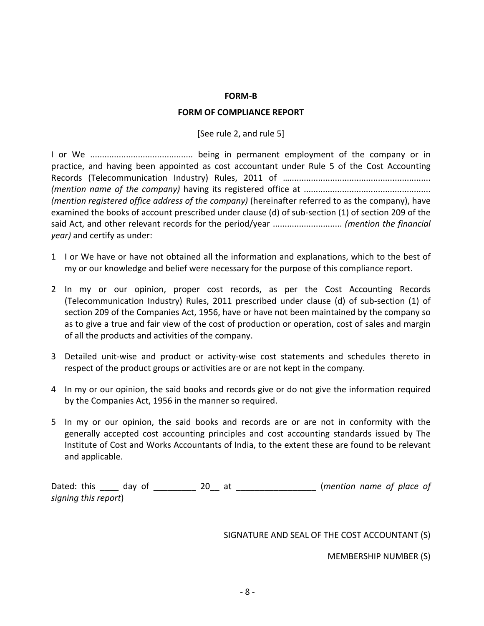#### **FORM‐B**

#### **FORM OF COMPLIANCE REPORT**

[See rule 2, and rule 5]

I or We ........................................... being in permanent employment of the company or in practice, and having been appointed as cost accountant under Rule 5 of the Cost Accounting Records (Telecommunication Industry) Rules, 2011 of …........................................................... *(mention name of the company)* having its registered office at ..................................................... *(mention registered office address of the company)* (hereinafter referred to as the company), have examined the books of account prescribed under clause (d) of sub‐section (1) of section 209 of the said Act, and other relevant records for the period/year ............................. *(mention the financial year)* and certify as under:

- 1 I or We have or have not obtained all the information and explanations, which to the best of my or our knowledge and belief were necessary for the purpose of this compliance report.
- 2 In my or our opinion, proper cost records, as per the Cost Accounting Records (Telecommunication Industry) Rules, 2011 prescribed under clause (d) of sub‐section (1) of section 209 of the Companies Act, 1956, have or have not been maintained by the company so as to give a true and fair view of the cost of production or operation, cost of sales and margin of all the products and activities of the company.
- 3 Detailed unit‐wise and product or activity‐wise cost statements and schedules thereto in respect of the product groups or activities are or are not kept in the company.
- 4 In my or our opinion, the said books and records give or do not give the information required by the Companies Act, 1956 in the manner so required.
- 5 In my or our opinion, the said books and records are or are not in conformity with the generally accepted cost accounting principles and cost accounting standards issued by The Institute of Cost and Works Accountants of India, to the extent these are found to be relevant and applicable.

| Dated: this          | day of |  | (mention name of place of |  |  |
|----------------------|--------|--|---------------------------|--|--|
| signing this report) |        |  |                           |  |  |

### SIGNATURE AND SEAL OF THE COST ACCOUNTANT (S)

MEMBERSHIP NUMBER (S)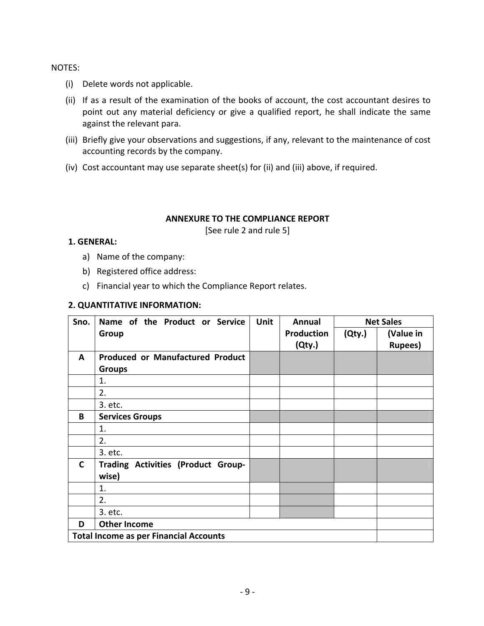#### NOTES:

- (i) Delete words not applicable.
- (ii) If as a result of the examination of the books of account, the cost accountant desires to point out any material deficiency or give a qualified report, he shall indicate the same against the relevant para.
- (iii) Briefly give your observations and suggestions, if any, relevant to the maintenance of cost accounting records by the company.
- (iv) Cost accountant may use separate sheet(s) for (ii) and (iii) above, if required.

### **ANNEXURE TO THE COMPLIANCE REPORT**

[See rule 2 and rule 5]

### **1. GENERAL:**

- a) Name of the company:
- b) Registered office address:
- c) Financial year to which the Compliance Report relates.

### **2. QUANTITATIVE INFORMATION:**

| Sno.         | Name of the Product or Service                | <b>Unit</b> | <b>Annual</b>     | <b>Net Sales</b> |                 |
|--------------|-----------------------------------------------|-------------|-------------------|------------------|-----------------|
|              | Group                                         |             | <b>Production</b> | (Qty.)           | (Value in       |
|              |                                               |             | (Qty.)            |                  | <b>Rupees</b> ) |
| A            | <b>Produced or Manufactured Product</b>       |             |                   |                  |                 |
|              | <b>Groups</b>                                 |             |                   |                  |                 |
|              | 1.                                            |             |                   |                  |                 |
|              | 2.                                            |             |                   |                  |                 |
|              | 3. etc.                                       |             |                   |                  |                 |
| B            | <b>Services Groups</b>                        |             |                   |                  |                 |
|              | 1.                                            |             |                   |                  |                 |
|              | 2.                                            |             |                   |                  |                 |
|              | 3. etc.                                       |             |                   |                  |                 |
| $\mathsf{C}$ | Trading Activities (Product Group-<br>wise)   |             |                   |                  |                 |
|              | 1.                                            |             |                   |                  |                 |
|              | 2.                                            |             |                   |                  |                 |
|              | 3. etc.                                       |             |                   |                  |                 |
| D            | <b>Other Income</b>                           |             |                   |                  |                 |
|              | <b>Total Income as per Financial Accounts</b> |             |                   |                  |                 |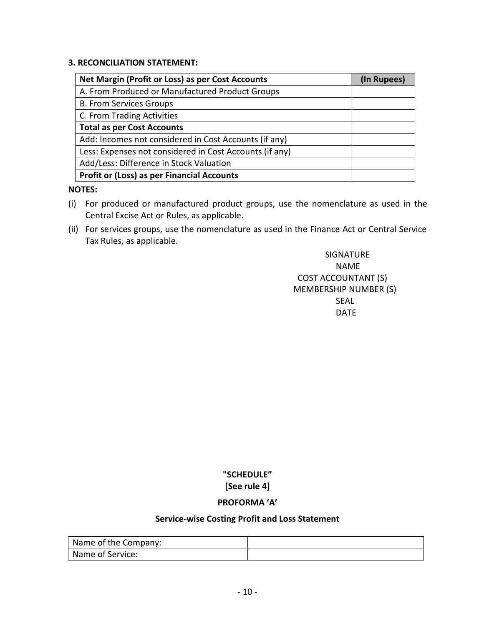### **3. RECONCILIATION STATEMENT:**

| <b>Net Margin (Profit or Loss) as per Cost Accounts</b> | (In Rupees) |
|---------------------------------------------------------|-------------|
| A. From Produced or Manufactured Product Groups         |             |
| <b>B. From Services Groups</b>                          |             |
| C. From Trading Activities                              |             |
| <b>Total as per Cost Accounts</b>                       |             |
| Add: Incomes not considered in Cost Accounts (if any)   |             |
| Less: Expenses not considered in Cost Accounts (if any) |             |
| Add/Less: Difference in Stock Valuation                 |             |
| <b>Profit or (Loss) as per Financial Accounts</b>       |             |

### **NOTES:**

- (i) For produced or manufactured product groups, use the nomenclature as used in the Central Excise Act or Rules, as applicable.
- (ii) For services groups, use the nomenclature as used in the Finance Act or Central Service Tax Rules, as applicable.

 SIGNATURE NAME And the contract of the contract of the contract of the contract of the contract of the contract of the contract of the contract of the contract of the contract of the contract of the contract of the contract of the c COST ACCOUNTANT (S) MEMBERSHIP NUMBER (S) SEAL DATE

## **"SCHEDULE" [See rule 4]**

### **PROFORMA 'A'**

### **Service‐wise Costing Profit and Loss Statement**

| Name of the Company: |  |
|----------------------|--|
| Name of Service:     |  |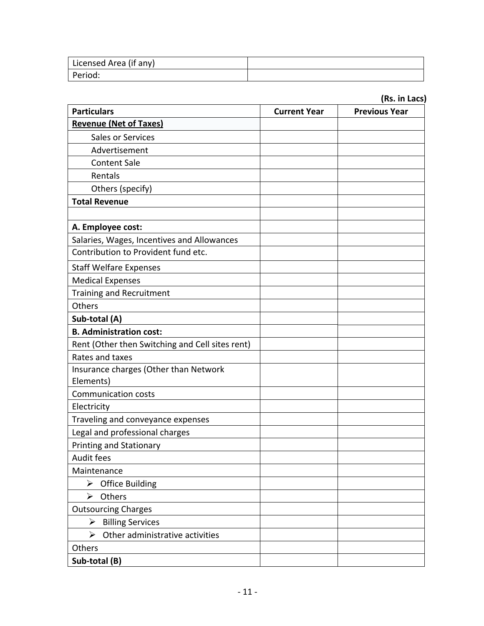| Licensed Area (if any) |  |
|------------------------|--|
| Period:                |  |

|                                                 |                     | (Rs. in Lacs)        |
|-------------------------------------------------|---------------------|----------------------|
| <b>Particulars</b>                              | <b>Current Year</b> | <b>Previous Year</b> |
| <b>Revenue (Net of Taxes)</b>                   |                     |                      |
| Sales or Services                               |                     |                      |
| Advertisement                                   |                     |                      |
| <b>Content Sale</b>                             |                     |                      |
| Rentals                                         |                     |                      |
| Others (specify)                                |                     |                      |
| <b>Total Revenue</b>                            |                     |                      |
|                                                 |                     |                      |
| A. Employee cost:                               |                     |                      |
| Salaries, Wages, Incentives and Allowances      |                     |                      |
| Contribution to Provident fund etc.             |                     |                      |
| <b>Staff Welfare Expenses</b>                   |                     |                      |
| <b>Medical Expenses</b>                         |                     |                      |
| Training and Recruitment                        |                     |                      |
| Others                                          |                     |                      |
| Sub-total (A)                                   |                     |                      |
| <b>B. Administration cost:</b>                  |                     |                      |
| Rent (Other then Switching and Cell sites rent) |                     |                      |
| Rates and taxes                                 |                     |                      |
| Insurance charges (Other than Network           |                     |                      |
| Elements)                                       |                     |                      |
| <b>Communication costs</b>                      |                     |                      |
| Electricity                                     |                     |                      |
| Traveling and conveyance expenses               |                     |                      |
| Legal and professional charges                  |                     |                      |
| Printing and Stationary                         |                     |                      |
| Audit fees                                      |                     |                      |
| Maintenance                                     |                     |                      |
| $\triangleright$ Office Building                |                     |                      |
| > Others                                        |                     |                      |
| <b>Outsourcing Charges</b>                      |                     |                      |
| $\triangleright$ Billing Services               |                     |                      |
| Other administrative activities<br>➤            |                     |                      |
| Others                                          |                     |                      |
| Sub-total (B)                                   |                     |                      |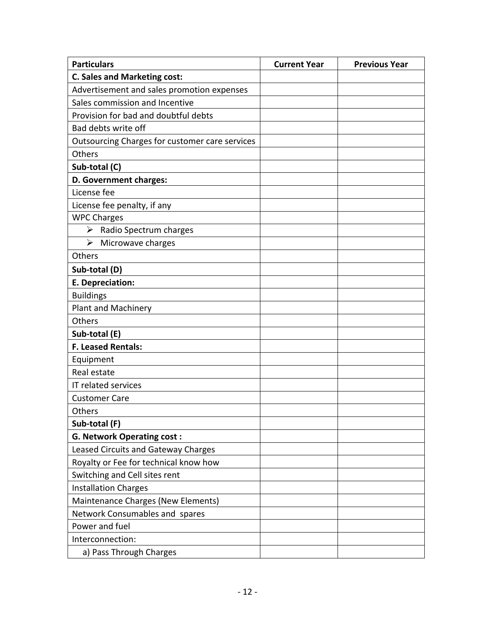| <b>Particulars</b>                              | <b>Current Year</b> | <b>Previous Year</b> |
|-------------------------------------------------|---------------------|----------------------|
| <b>C. Sales and Marketing cost:</b>             |                     |                      |
| Advertisement and sales promotion expenses      |                     |                      |
| Sales commission and Incentive                  |                     |                      |
| Provision for bad and doubtful debts            |                     |                      |
| Bad debts write off                             |                     |                      |
| Outsourcing Charges for customer care services  |                     |                      |
| Others                                          |                     |                      |
| Sub-total (C)                                   |                     |                      |
| D. Government charges:                          |                     |                      |
| License fee                                     |                     |                      |
| License fee penalty, if any                     |                     |                      |
| <b>WPC Charges</b>                              |                     |                      |
| $\blacktriangleright$<br>Radio Spectrum charges |                     |                      |
| $\triangleright$ Microwave charges              |                     |                      |
| Others                                          |                     |                      |
| Sub-total (D)                                   |                     |                      |
| E. Depreciation:                                |                     |                      |
| <b>Buildings</b>                                |                     |                      |
| <b>Plant and Machinery</b>                      |                     |                      |
| Others                                          |                     |                      |
| Sub-total (E)                                   |                     |                      |
| <b>F. Leased Rentals:</b>                       |                     |                      |
| Equipment                                       |                     |                      |
| Real estate                                     |                     |                      |
| IT related services                             |                     |                      |
| <b>Customer Care</b>                            |                     |                      |
| Others                                          |                     |                      |
| Sub-total (F)                                   |                     |                      |
| <b>G. Network Operating cost:</b>               |                     |                      |
| Leased Circuits and Gateway Charges             |                     |                      |
| Royalty or Fee for technical know how           |                     |                      |
| Switching and Cell sites rent                   |                     |                      |
| <b>Installation Charges</b>                     |                     |                      |
| Maintenance Charges (New Elements)              |                     |                      |
| Network Consumables and spares                  |                     |                      |
| Power and fuel                                  |                     |                      |
| Interconnection:                                |                     |                      |
| a) Pass Through Charges                         |                     |                      |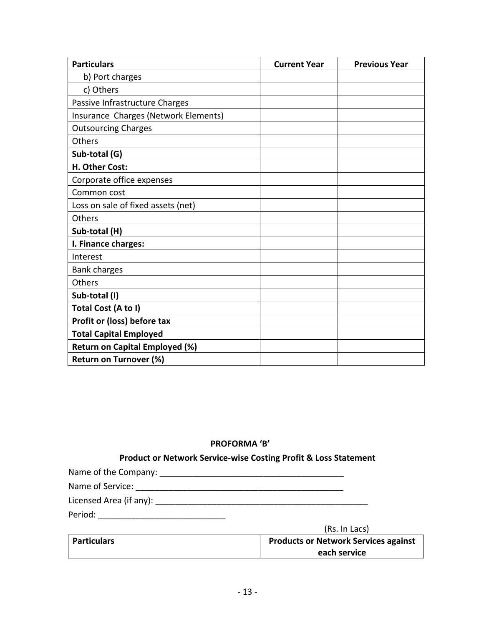| <b>Particulars</b>                    | <b>Current Year</b> | <b>Previous Year</b> |
|---------------------------------------|---------------------|----------------------|
| b) Port charges                       |                     |                      |
| c) Others                             |                     |                      |
| Passive Infrastructure Charges        |                     |                      |
| Insurance Charges (Network Elements)  |                     |                      |
| <b>Outsourcing Charges</b>            |                     |                      |
| Others                                |                     |                      |
| Sub-total (G)                         |                     |                      |
| H. Other Cost:                        |                     |                      |
| Corporate office expenses             |                     |                      |
| Common cost                           |                     |                      |
| Loss on sale of fixed assets (net)    |                     |                      |
| Others                                |                     |                      |
| Sub-total (H)                         |                     |                      |
| I. Finance charges:                   |                     |                      |
| Interest                              |                     |                      |
| <b>Bank charges</b>                   |                     |                      |
| Others                                |                     |                      |
| Sub-total (I)                         |                     |                      |
| <b>Total Cost (A to I)</b>            |                     |                      |
| Profit or (loss) before tax           |                     |                      |
| <b>Total Capital Employed</b>         |                     |                      |
| <b>Return on Capital Employed (%)</b> |                     |                      |
| <b>Return on Turnover (%)</b>         |                     |                      |

### **PROFORMA 'B'**

## **Product or Network Service‐wise Costing Profit & Loss Statement**

| Name of the Company: |  |
|----------------------|--|
|                      |  |

Name of Service: \_\_\_\_\_\_\_\_\_\_\_\_\_\_\_\_\_\_\_\_\_\_\_\_\_\_\_\_\_\_\_\_\_\_\_\_\_\_\_\_\_\_\_\_

Licensed Area (if any): \_\_\_\_\_\_\_\_\_\_\_\_\_\_\_\_\_\_\_\_\_\_\_\_\_\_\_\_\_\_\_\_\_\_\_\_\_\_\_\_\_\_\_\_\_

Period: \_\_\_\_\_\_\_\_\_\_\_\_\_\_\_\_\_\_\_\_\_\_\_\_\_\_\_

(Rs. In Lacs)

| Particulars | <b>Products or Network Services against</b> |
|-------------|---------------------------------------------|
|             | each service                                |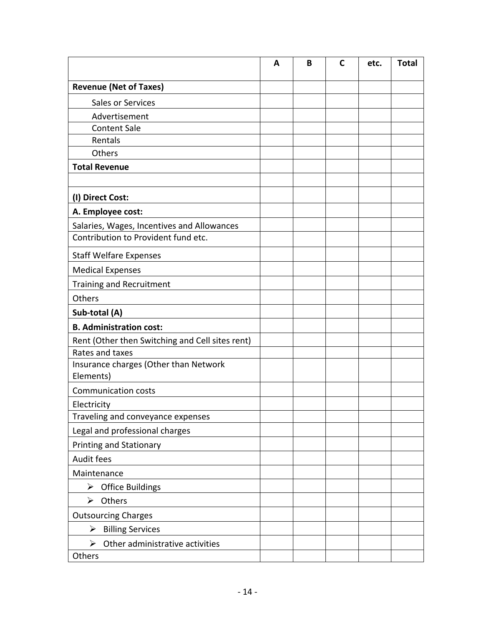|                                                    | A | B | $\mathsf{C}$ | etc. | <b>Total</b> |
|----------------------------------------------------|---|---|--------------|------|--------------|
| <b>Revenue (Net of Taxes)</b>                      |   |   |              |      |              |
| Sales or Services                                  |   |   |              |      |              |
| Advertisement                                      |   |   |              |      |              |
| <b>Content Sale</b>                                |   |   |              |      |              |
| Rentals                                            |   |   |              |      |              |
| Others                                             |   |   |              |      |              |
| <b>Total Revenue</b>                               |   |   |              |      |              |
|                                                    |   |   |              |      |              |
| (I) Direct Cost:                                   |   |   |              |      |              |
| A. Employee cost:                                  |   |   |              |      |              |
| Salaries, Wages, Incentives and Allowances         |   |   |              |      |              |
| Contribution to Provident fund etc.                |   |   |              |      |              |
| <b>Staff Welfare Expenses</b>                      |   |   |              |      |              |
| <b>Medical Expenses</b>                            |   |   |              |      |              |
| <b>Training and Recruitment</b>                    |   |   |              |      |              |
| Others                                             |   |   |              |      |              |
| Sub-total (A)                                      |   |   |              |      |              |
| <b>B. Administration cost:</b>                     |   |   |              |      |              |
| Rent (Other then Switching and Cell sites rent)    |   |   |              |      |              |
| Rates and taxes                                    |   |   |              |      |              |
| Insurance charges (Other than Network<br>Elements) |   |   |              |      |              |
| <b>Communication costs</b>                         |   |   |              |      |              |
| Electricity                                        |   |   |              |      |              |
| Traveling and conveyance expenses                  |   |   |              |      |              |
| Legal and professional charges                     |   |   |              |      |              |
| Printing and Stationary                            |   |   |              |      |              |
| Audit fees                                         |   |   |              |      |              |
| Maintenance                                        |   |   |              |      |              |
| $\triangleright$ Office Buildings                  |   |   |              |      |              |
| $\blacktriangleright$<br>Others                    |   |   |              |      |              |
| <b>Outsourcing Charges</b>                         |   |   |              |      |              |
| $\triangleright$ Billing Services                  |   |   |              |      |              |
| $\triangleright$ Other administrative activities   |   |   |              |      |              |
| Others                                             |   |   |              |      |              |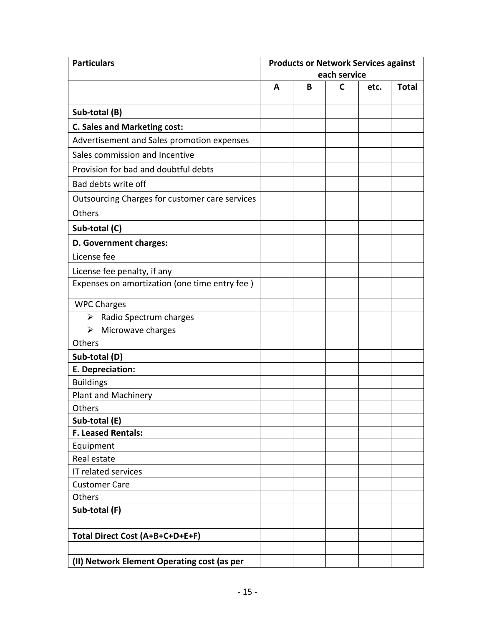| <b>Particulars</b>                             | <b>Products or Network Services against</b> |   |   |      |              |
|------------------------------------------------|---------------------------------------------|---|---|------|--------------|
|                                                | each service                                |   |   |      |              |
|                                                | A                                           | B | C | etc. | <b>Total</b> |
| Sub-total (B)                                  |                                             |   |   |      |              |
| <b>C. Sales and Marketing cost:</b>            |                                             |   |   |      |              |
| Advertisement and Sales promotion expenses     |                                             |   |   |      |              |
| Sales commission and Incentive                 |                                             |   |   |      |              |
| Provision for bad and doubtful debts           |                                             |   |   |      |              |
| Bad debts write off                            |                                             |   |   |      |              |
| Outsourcing Charges for customer care services |                                             |   |   |      |              |
| Others                                         |                                             |   |   |      |              |
| Sub-total (C)                                  |                                             |   |   |      |              |
| D. Government charges:                         |                                             |   |   |      |              |
| License fee                                    |                                             |   |   |      |              |
| License fee penalty, if any                    |                                             |   |   |      |              |
| Expenses on amortization (one time entry fee)  |                                             |   |   |      |              |
| <b>WPC Charges</b>                             |                                             |   |   |      |              |
| Radio Spectrum charges<br>➤                    |                                             |   |   |      |              |
| $\blacktriangleright$<br>Microwave charges     |                                             |   |   |      |              |
| Others                                         |                                             |   |   |      |              |
| Sub-total (D)                                  |                                             |   |   |      |              |
| E. Depreciation:                               |                                             |   |   |      |              |
| <b>Buildings</b>                               |                                             |   |   |      |              |
| Plant and Machinery                            |                                             |   |   |      |              |
| Others                                         |                                             |   |   |      |              |
| Sub-total (E)                                  |                                             |   |   |      |              |
| <b>F. Leased Rentals:</b>                      |                                             |   |   |      |              |
| Equipment                                      |                                             |   |   |      |              |
| Real estate                                    |                                             |   |   |      |              |
| IT related services                            |                                             |   |   |      |              |
| <b>Customer Care</b>                           |                                             |   |   |      |              |
| Others                                         |                                             |   |   |      |              |
| Sub-total (F)                                  |                                             |   |   |      |              |
|                                                |                                             |   |   |      |              |
| Total Direct Cost (A+B+C+D+E+F)                |                                             |   |   |      |              |
|                                                |                                             |   |   |      |              |
| (II) Network Element Operating cost (as per    |                                             |   |   |      |              |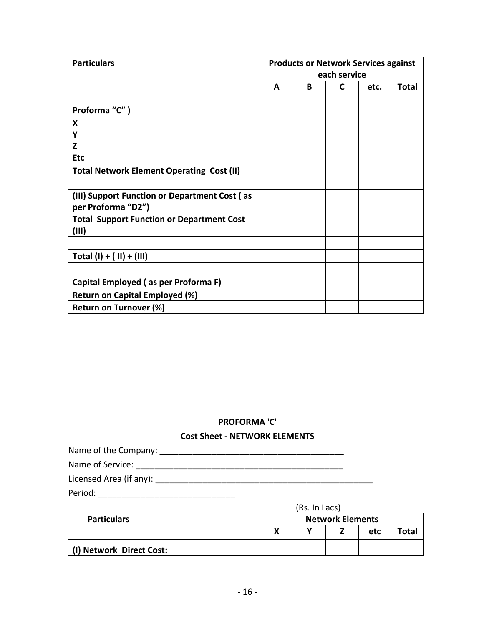| <b>Particulars</b>                                                  | <b>Products or Network Services against</b><br>each service |   |   |      |              |  |  |
|---------------------------------------------------------------------|-------------------------------------------------------------|---|---|------|--------------|--|--|
|                                                                     | A                                                           | B | C | etc. | <b>Total</b> |  |  |
| Proforma "C")                                                       |                                                             |   |   |      |              |  |  |
| X                                                                   |                                                             |   |   |      |              |  |  |
| Υ                                                                   |                                                             |   |   |      |              |  |  |
| Z                                                                   |                                                             |   |   |      |              |  |  |
| <b>Etc</b>                                                          |                                                             |   |   |      |              |  |  |
| <b>Total Network Element Operating Cost (II)</b>                    |                                                             |   |   |      |              |  |  |
|                                                                     |                                                             |   |   |      |              |  |  |
| (III) Support Function or Department Cost (as<br>per Proforma "D2") |                                                             |   |   |      |              |  |  |
| <b>Total Support Function or Department Cost</b><br>(III)           |                                                             |   |   |      |              |  |  |
|                                                                     |                                                             |   |   |      |              |  |  |
| Total $(I) + (II) + (III)$                                          |                                                             |   |   |      |              |  |  |
|                                                                     |                                                             |   |   |      |              |  |  |
| Capital Employed (as per Proforma F)                                |                                                             |   |   |      |              |  |  |
| <b>Return on Capital Employed (%)</b>                               |                                                             |   |   |      |              |  |  |
| <b>Return on Turnover (%)</b>                                       |                                                             |   |   |      |              |  |  |

#### **PROFORMA 'C'**

### **Cost Sheet ‐ NETWORK ELEMENTS**

| Name of the Company: |  |
|----------------------|--|
| Name of Service:     |  |

Licensed Area (if any): \_\_\_\_\_\_\_\_\_\_\_\_\_\_\_\_\_\_\_\_\_\_\_\_\_\_\_\_\_\_\_\_\_\_\_\_\_\_\_\_\_\_\_\_\_\_

|                          | (Rs. In Lacs) |  |                         |     |       |  |
|--------------------------|---------------|--|-------------------------|-----|-------|--|
| <b>Particulars</b>       |               |  | <b>Network Elements</b> |     |       |  |
|                          | ν             |  |                         | etc | Total |  |
| (I) Network Direct Cost: |               |  |                         |     |       |  |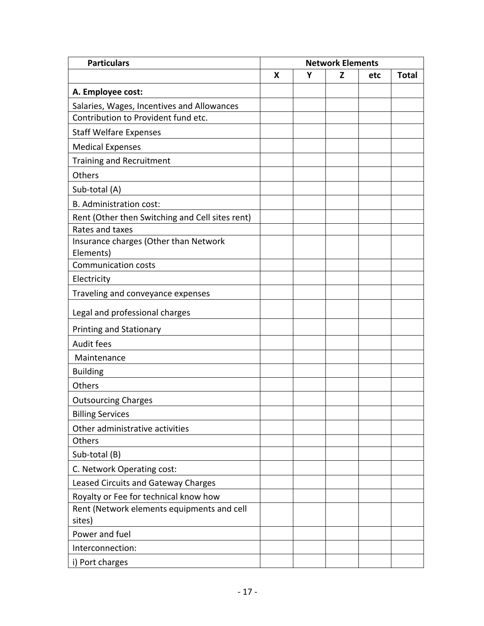| <b>Particulars</b>                                   | <b>Network Elements</b> |   |   |     |              |
|------------------------------------------------------|-------------------------|---|---|-----|--------------|
|                                                      | X                       | Y | z | etc | <b>Total</b> |
| A. Employee cost:                                    |                         |   |   |     |              |
| Salaries, Wages, Incentives and Allowances           |                         |   |   |     |              |
| Contribution to Provident fund etc.                  |                         |   |   |     |              |
| <b>Staff Welfare Expenses</b>                        |                         |   |   |     |              |
| <b>Medical Expenses</b>                              |                         |   |   |     |              |
| <b>Training and Recruitment</b>                      |                         |   |   |     |              |
| Others                                               |                         |   |   |     |              |
| Sub-total (A)                                        |                         |   |   |     |              |
| B. Administration cost:                              |                         |   |   |     |              |
| Rent (Other then Switching and Cell sites rent)      |                         |   |   |     |              |
| Rates and taxes                                      |                         |   |   |     |              |
| Insurance charges (Other than Network                |                         |   |   |     |              |
| Elements)<br><b>Communication costs</b>              |                         |   |   |     |              |
| Electricity                                          |                         |   |   |     |              |
| Traveling and conveyance expenses                    |                         |   |   |     |              |
|                                                      |                         |   |   |     |              |
| Legal and professional charges                       |                         |   |   |     |              |
| <b>Printing and Stationary</b>                       |                         |   |   |     |              |
| Audit fees                                           |                         |   |   |     |              |
| Maintenance                                          |                         |   |   |     |              |
| <b>Building</b>                                      |                         |   |   |     |              |
| Others                                               |                         |   |   |     |              |
| <b>Outsourcing Charges</b>                           |                         |   |   |     |              |
| <b>Billing Services</b>                              |                         |   |   |     |              |
| Other administrative activities                      |                         |   |   |     |              |
| Others                                               |                         |   |   |     |              |
| Sub-total (B)                                        |                         |   |   |     |              |
| C. Network Operating cost:                           |                         |   |   |     |              |
| Leased Circuits and Gateway Charges                  |                         |   |   |     |              |
| Royalty or Fee for technical know how                |                         |   |   |     |              |
| Rent (Network elements equipments and cell<br>sites) |                         |   |   |     |              |
| Power and fuel                                       |                         |   |   |     |              |
| Interconnection:                                     |                         |   |   |     |              |
| i) Port charges                                      |                         |   |   |     |              |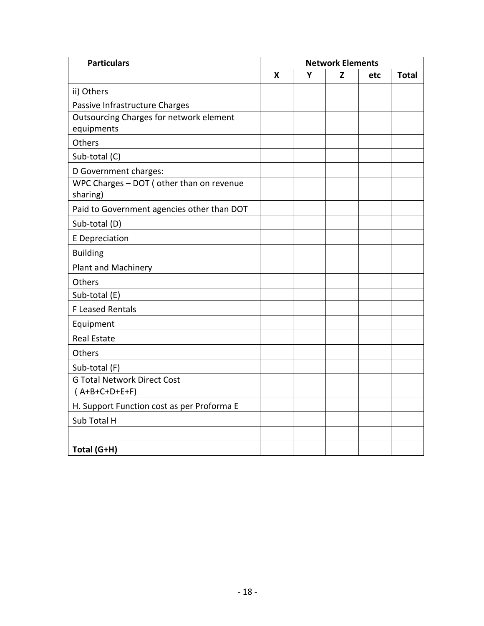| <b>Particulars</b>                                    | <b>Network Elements</b>   |   |   |     |              |
|-------------------------------------------------------|---------------------------|---|---|-----|--------------|
|                                                       | $\boldsymbol{\mathsf{X}}$ | Y | Z | etc | <b>Total</b> |
| ii) Others                                            |                           |   |   |     |              |
| Passive Infrastructure Charges                        |                           |   |   |     |              |
| Outsourcing Charges for network element               |                           |   |   |     |              |
| equipments                                            |                           |   |   |     |              |
| Others                                                |                           |   |   |     |              |
| Sub-total (C)                                         |                           |   |   |     |              |
| D Government charges:                                 |                           |   |   |     |              |
| WPC Charges - DOT ( other than on revenue<br>sharing) |                           |   |   |     |              |
| Paid to Government agencies other than DOT            |                           |   |   |     |              |
| Sub-total (D)                                         |                           |   |   |     |              |
| <b>E</b> Depreciation                                 |                           |   |   |     |              |
| <b>Building</b>                                       |                           |   |   |     |              |
| <b>Plant and Machinery</b>                            |                           |   |   |     |              |
| Others                                                |                           |   |   |     |              |
| Sub-total (E)                                         |                           |   |   |     |              |
| F Leased Rentals                                      |                           |   |   |     |              |
| Equipment                                             |                           |   |   |     |              |
| <b>Real Estate</b>                                    |                           |   |   |     |              |
| Others                                                |                           |   |   |     |              |
| Sub-total (F)                                         |                           |   |   |     |              |
| <b>G Total Network Direct Cost</b>                    |                           |   |   |     |              |
| $(A+B+C+D+E+F)$                                       |                           |   |   |     |              |
| H. Support Function cost as per Proforma E            |                           |   |   |     |              |
| Sub Total H                                           |                           |   |   |     |              |
|                                                       |                           |   |   |     |              |
| Total (G+H)                                           |                           |   |   |     |              |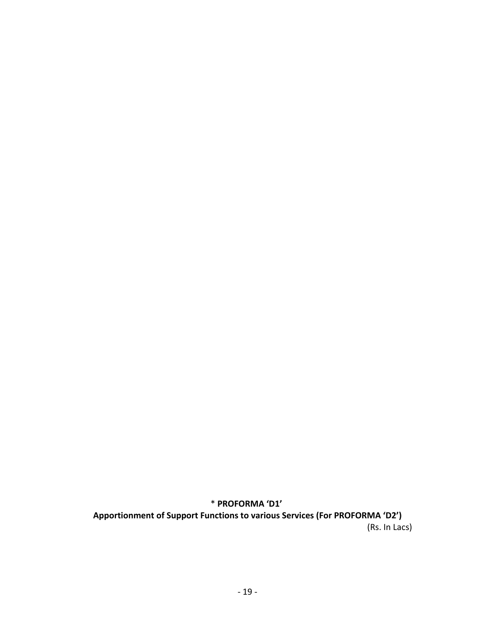\* **PROFORMA 'D1'**

**Apportionment of Support Functions to various Services (For PROFORMA 'D2')**  (Rs. In Lacs)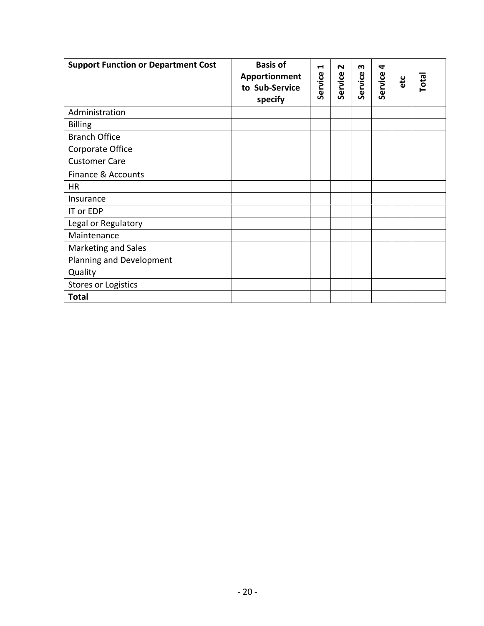| <b>Support Function or Department Cost</b> | <b>Basis of</b><br>Apportionment<br>to Sub-Service<br>specify | $\blacktriangleleft$<br>Service | $\mathbf{\mathsf{N}}$<br>Service | ო<br>Service | 4<br>Service | etc | Total |
|--------------------------------------------|---------------------------------------------------------------|---------------------------------|----------------------------------|--------------|--------------|-----|-------|
| Administration                             |                                                               |                                 |                                  |              |              |     |       |
| <b>Billing</b>                             |                                                               |                                 |                                  |              |              |     |       |
| <b>Branch Office</b>                       |                                                               |                                 |                                  |              |              |     |       |
| Corporate Office                           |                                                               |                                 |                                  |              |              |     |       |
| <b>Customer Care</b>                       |                                                               |                                 |                                  |              |              |     |       |
| Finance & Accounts                         |                                                               |                                 |                                  |              |              |     |       |
| HR                                         |                                                               |                                 |                                  |              |              |     |       |
| Insurance                                  |                                                               |                                 |                                  |              |              |     |       |
| IT or EDP                                  |                                                               |                                 |                                  |              |              |     |       |
| Legal or Regulatory                        |                                                               |                                 |                                  |              |              |     |       |
| Maintenance                                |                                                               |                                 |                                  |              |              |     |       |
| Marketing and Sales                        |                                                               |                                 |                                  |              |              |     |       |
| Planning and Development                   |                                                               |                                 |                                  |              |              |     |       |
| Quality                                    |                                                               |                                 |                                  |              |              |     |       |
| <b>Stores or Logistics</b>                 |                                                               |                                 |                                  |              |              |     |       |
| <b>Total</b>                               |                                                               |                                 |                                  |              |              |     |       |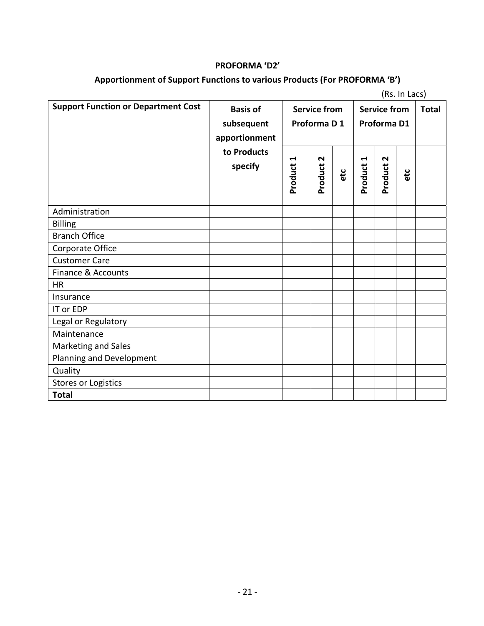#### **PROFORMA 'D2'**

### **Apportionment of Support Functions to various Products (For PROFORMA 'B')**

 (Rs. In Lacs) **Service from Proforma D 1 Service from Proforma D1 Support Function or Department Cost** | **Basis of** | **Service from** | **Service from** | **Total subsequent apportionment to Products specify Product 1 Product**  $\sim$ **etc Product 1 Product**  $\sim$ **etc** Administration Billing the contract of the contract of the contract of the contract of the contract of the contract of the contract of the contract of the contract of the contract of the contract of the contract of the contract of the co Branch Office Corporate Office Customer Care Finance & Accounts HR Insurance IT or EDP Legal or Regulatory Maintenance Marketing and Sales Planning and Development Quality Stores or Logistics **Total**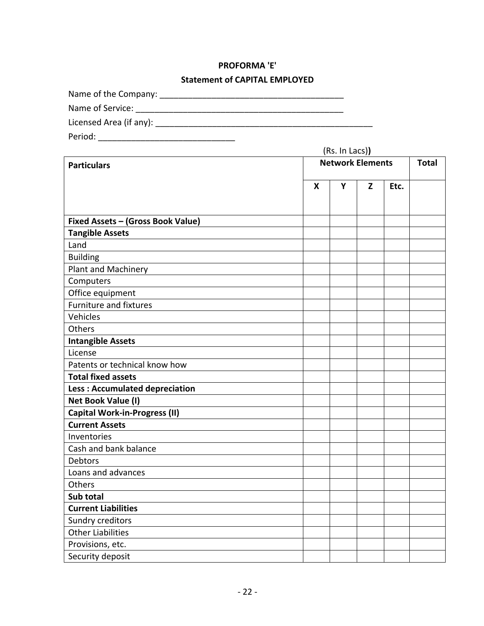### **PROFORMA 'E'**

### **Statement of CAPITAL EMPLOYED**

| Name of the Company: |  |
|----------------------|--|
| Name of Service:     |  |

Licensed Area (if any): \_\_\_\_\_\_\_\_\_\_\_\_\_\_\_\_\_\_\_\_\_\_\_\_\_\_\_\_\_\_\_\_\_\_\_\_\_\_\_\_\_\_\_\_\_\_

| (Rs. In Lacs))                        |                         |   |   |      |  |  |
|---------------------------------------|-------------------------|---|---|------|--|--|
| <b>Particulars</b>                    | <b>Network Elements</b> |   |   |      |  |  |
|                                       |                         |   |   | Etc. |  |  |
|                                       | X                       | Υ | Z |      |  |  |
|                                       |                         |   |   |      |  |  |
| Fixed Assets - (Gross Book Value)     |                         |   |   |      |  |  |
| <b>Tangible Assets</b>                |                         |   |   |      |  |  |
| Land                                  |                         |   |   |      |  |  |
| <b>Building</b>                       |                         |   |   |      |  |  |
| Plant and Machinery                   |                         |   |   |      |  |  |
| Computers                             |                         |   |   |      |  |  |
| Office equipment                      |                         |   |   |      |  |  |
| <b>Furniture and fixtures</b>         |                         |   |   |      |  |  |
| Vehicles                              |                         |   |   |      |  |  |
| Others                                |                         |   |   |      |  |  |
| <b>Intangible Assets</b>              |                         |   |   |      |  |  |
| License                               |                         |   |   |      |  |  |
| Patents or technical know how         |                         |   |   |      |  |  |
| <b>Total fixed assets</b>             |                         |   |   |      |  |  |
| <b>Less: Accumulated depreciation</b> |                         |   |   |      |  |  |
| Net Book Value (I)                    |                         |   |   |      |  |  |
| <b>Capital Work-in-Progress (II)</b>  |                         |   |   |      |  |  |
| <b>Current Assets</b>                 |                         |   |   |      |  |  |
| Inventories                           |                         |   |   |      |  |  |
| Cash and bank balance                 |                         |   |   |      |  |  |
| <b>Debtors</b>                        |                         |   |   |      |  |  |
| Loans and advances                    |                         |   |   |      |  |  |
| Others                                |                         |   |   |      |  |  |
| Sub total                             |                         |   |   |      |  |  |
| <b>Current Liabilities</b>            |                         |   |   |      |  |  |
| Sundry creditors                      |                         |   |   |      |  |  |
| <b>Other Liabilities</b>              |                         |   |   |      |  |  |
| Provisions, etc.                      |                         |   |   |      |  |  |
| Security deposit                      |                         |   |   |      |  |  |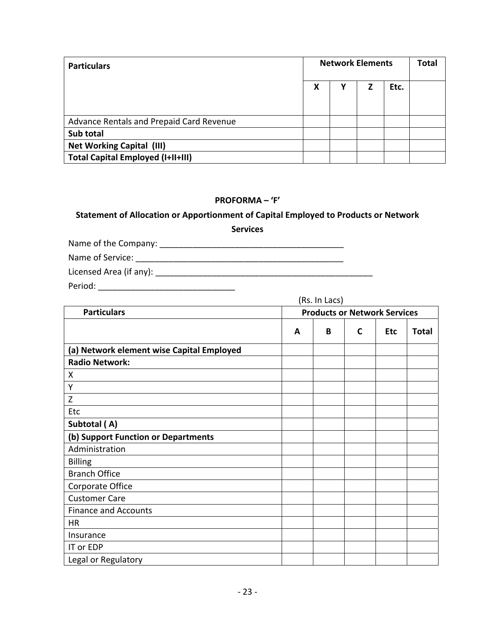| <b>Particulars</b>                       | <b>Network Elements</b> | <b>Total</b> |   |      |  |
|------------------------------------------|-------------------------|--------------|---|------|--|
|                                          | X                       | γ            | Z | Etc. |  |
|                                          |                         |              |   |      |  |
| Advance Rentals and Prepaid Card Revenue |                         |              |   |      |  |
| Sub total                                |                         |              |   |      |  |
| <b>Net Working Capital (III)</b>         |                         |              |   |      |  |
| <b>Total Capital Employed (I+II+III)</b> |                         |              |   |      |  |

### **PROFORMA – 'F'**

## **Statement of Allocation or Apportionment of Capital Employed to Products or Network**

**Services**

Name of the Company: \_\_\_\_\_\_\_\_\_\_\_\_\_\_\_\_\_\_\_\_\_\_\_\_\_\_\_\_\_\_\_\_\_\_\_\_\_\_\_

Name of Service: \_\_\_\_\_\_\_\_\_\_\_\_\_\_\_\_\_\_\_\_\_\_\_\_\_\_\_\_\_\_\_\_\_\_\_\_\_\_\_\_\_\_\_\_

Licensed Area (if any): \_\_\_\_\_\_\_\_\_\_\_\_\_\_\_\_\_\_\_\_\_\_\_\_\_\_\_\_\_\_\_\_\_\_\_\_\_\_\_\_\_\_\_\_\_\_

|                                           | (Rs. In Lacs)                       |   |   |            |              |
|-------------------------------------------|-------------------------------------|---|---|------------|--------------|
| <b>Particulars</b>                        | <b>Products or Network Services</b> |   |   |            |              |
|                                           | A                                   | B | C | <b>Etc</b> | <b>Total</b> |
| (a) Network element wise Capital Employed |                                     |   |   |            |              |
| <b>Radio Network:</b>                     |                                     |   |   |            |              |
| X                                         |                                     |   |   |            |              |
| Υ                                         |                                     |   |   |            |              |
| Z                                         |                                     |   |   |            |              |
| Etc                                       |                                     |   |   |            |              |
| Subtotal (A)                              |                                     |   |   |            |              |
| (b) Support Function or Departments       |                                     |   |   |            |              |
| Administration                            |                                     |   |   |            |              |
| <b>Billing</b>                            |                                     |   |   |            |              |
| <b>Branch Office</b>                      |                                     |   |   |            |              |
| Corporate Office                          |                                     |   |   |            |              |
| <b>Customer Care</b>                      |                                     |   |   |            |              |
| <b>Finance and Accounts</b>               |                                     |   |   |            |              |
| <b>HR</b>                                 |                                     |   |   |            |              |
| Insurance                                 |                                     |   |   |            |              |
| IT or EDP                                 |                                     |   |   |            |              |
| Legal or Regulatory                       |                                     |   |   |            |              |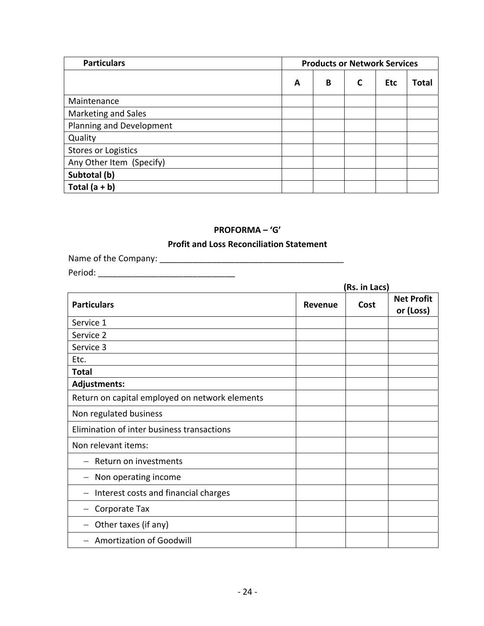| <b>Particulars</b>         |   |   | <b>Products or Network Services</b> |            |              |
|----------------------------|---|---|-------------------------------------|------------|--------------|
|                            | A | B |                                     | <b>Etc</b> | <b>Total</b> |
| Maintenance                |   |   |                                     |            |              |
| Marketing and Sales        |   |   |                                     |            |              |
| Planning and Development   |   |   |                                     |            |              |
| Quality                    |   |   |                                     |            |              |
| <b>Stores or Logistics</b> |   |   |                                     |            |              |
| Any Other Item (Specify)   |   |   |                                     |            |              |
| Subtotal (b)               |   |   |                                     |            |              |
| Total $(a + b)$            |   |   |                                     |            |              |

## **PROFORMA – 'G'**

## **Profit and Loss Reconciliation Statement**

Name of the Company: \_\_\_\_\_\_\_\_\_\_\_\_\_\_\_\_\_\_\_\_\_\_\_\_\_\_\_\_\_\_\_\_\_\_\_\_\_\_\_

|                                                                        |         | (Rs. in Lacs) |                                |
|------------------------------------------------------------------------|---------|---------------|--------------------------------|
| <b>Particulars</b>                                                     | Revenue | Cost          | <b>Net Profit</b><br>or (Loss) |
| Service 1                                                              |         |               |                                |
| Service 2                                                              |         |               |                                |
| Service 3                                                              |         |               |                                |
| Etc.                                                                   |         |               |                                |
| <b>Total</b>                                                           |         |               |                                |
| Adjustments:                                                           |         |               |                                |
| Return on capital employed on network elements                         |         |               |                                |
| Non regulated business                                                 |         |               |                                |
| Elimination of inter business transactions                             |         |               |                                |
| Non relevant items:                                                    |         |               |                                |
| Return on investments                                                  |         |               |                                |
| Non operating income<br>$\overline{\phantom{m}}$                       |         |               |                                |
| Interest costs and financial charges<br>$\qquad \qquad \longleftarrow$ |         |               |                                |
| Corporate Tax                                                          |         |               |                                |
| Other taxes (if any)<br>$\hspace{0.1mm}-\hspace{0.1mm}$                |         |               |                                |
| <b>Amortization of Goodwill</b>                                        |         |               |                                |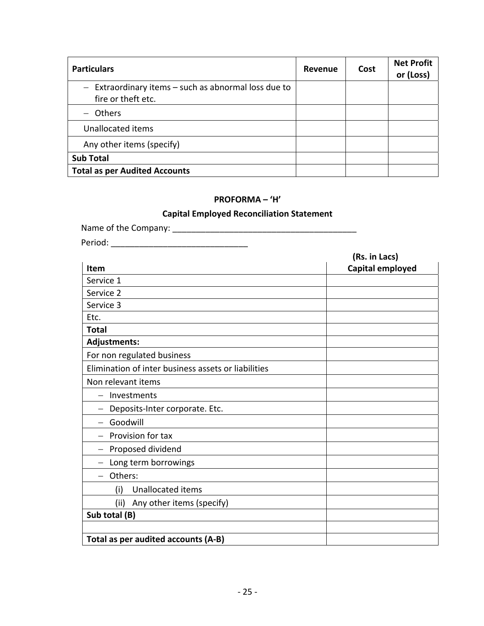| <b>Particulars</b>                                                         | Revenue | Cost | <b>Net Profit</b><br>or (Loss) |
|----------------------------------------------------------------------------|---------|------|--------------------------------|
| - Extraordinary items - such as abnormal loss due to<br>fire or theft etc. |         |      |                                |
| - Others                                                                   |         |      |                                |
| Unallocated items                                                          |         |      |                                |
| Any other items (specify)                                                  |         |      |                                |
| <b>Sub Total</b>                                                           |         |      |                                |
| <b>Total as per Audited Accounts</b>                                       |         |      |                                |

## **PROFORMA – 'H'**

# **Capital Employed Reconciliation Statement**

|                                                     | (Rs. in Lacs)    |  |  |
|-----------------------------------------------------|------------------|--|--|
| Item                                                | Capital employed |  |  |
| Service 1                                           |                  |  |  |
| Service 2                                           |                  |  |  |
| Service 3                                           |                  |  |  |
| Etc.                                                |                  |  |  |
| <b>Total</b>                                        |                  |  |  |
| Adjustments:                                        |                  |  |  |
| For non regulated business                          |                  |  |  |
| Elimination of inter business assets or liabilities |                  |  |  |
| Non relevant items                                  |                  |  |  |
| - Investments                                       |                  |  |  |
| - Deposits-Inter corporate. Etc.                    |                  |  |  |
| - Goodwill                                          |                  |  |  |
| $-$ Provision for tax                               |                  |  |  |
| - Proposed dividend                                 |                  |  |  |
| - Long term borrowings                              |                  |  |  |
| - Others:                                           |                  |  |  |
| (i) Unallocated items                               |                  |  |  |
| (ii) Any other items (specify)                      |                  |  |  |
| Sub total (B)                                       |                  |  |  |